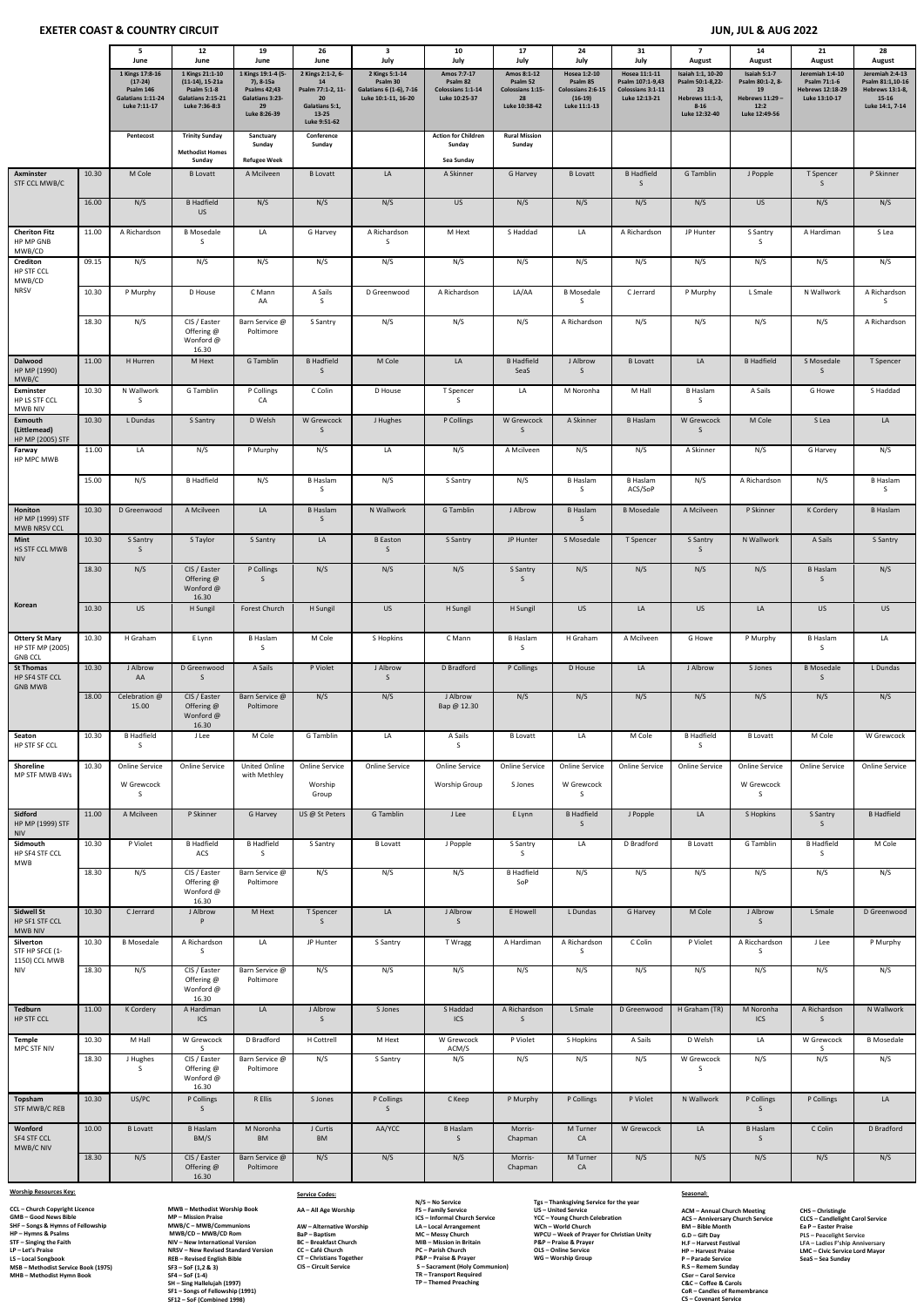# **EXETER COAST & COUNTRY CIRCUIT JUN, JUL & AUG 2022**

|                                                             |                | 5<br>June                                                                      | 12<br>June                                                                              | 19<br>June                                                                                             | 26<br>June                                                                                    | 3<br>July                                                                    | 10<br>July                                                    | 17<br>July                                                         | 24<br>July                                                                 | 31<br>July                                                              | $\overline{7}$<br>August                                                                    | 14<br>August                                                                      | 21<br><b>August</b>                                                         | 28<br>August                                                                           |
|-------------------------------------------------------------|----------------|--------------------------------------------------------------------------------|-----------------------------------------------------------------------------------------|--------------------------------------------------------------------------------------------------------|-----------------------------------------------------------------------------------------------|------------------------------------------------------------------------------|---------------------------------------------------------------|--------------------------------------------------------------------|----------------------------------------------------------------------------|-------------------------------------------------------------------------|---------------------------------------------------------------------------------------------|-----------------------------------------------------------------------------------|-----------------------------------------------------------------------------|----------------------------------------------------------------------------------------|
|                                                             |                | 1 Kings 17:8-16<br>$(17-24)$<br>Psalm 146<br>Galatians 1:11-24<br>Luke 7:11-17 | 1 Kings 21:1-10<br>(11-14), 15-21a<br>Psalm 5:1-8<br>Galatians 2:15-21<br>Luke 7:36-8:3 | 1 Kings 19:1-4 (5-<br>7), 8-15a<br><b>Psalms 42;43</b><br><b>Galatians 3:23-</b><br>29<br>Luke 8:26-39 | 2 Kings 2:1-2, 6-<br>14<br>Psalm 77:1-2, 11-<br>20<br>Galatians 5:1,<br>13-25<br>Luke 9:51-62 | 2 Kings 5:1-14<br>Psalm 30<br>Galatians 6 (1-6), 7-16<br>Luke 10:1-11, 16-20 | Amos 7:7-17<br>Psalm 82<br>Colossians 1:1-14<br>Luke 10:25-37 | Amos 8:1-12<br>Psalm 52<br>Colossians 1:15-<br>28<br>Luke 10:38-42 | Hosea 1:2-10<br>Psalm 85<br>Colossians 2:6-15<br>$(16-19)$<br>Luke 11:1-13 | Hosea 11:1-11<br>Psalm 107:1-9,43<br>Colossians 3:1-11<br>Luke 12:13-21 | Isaiah 1:1, 10-20<br>Psalm 50:1-8,22-<br>23<br>Hebrews 11:1-3,<br>$8 - 16$<br>Luke 12:32-40 | Isaiah 5:1-7<br>Psalm 80:1-2, 8-<br>19<br>Hebrews 11:29-<br>12:2<br>Luke 12:49-56 | Jeremiah 1:4-10<br>Psalm 71:1-6<br><b>Hebrews 12:18-29</b><br>Luke 13:10-17 | Jeremiah 2:4-13<br>Psalm 81:1,10-16<br>Hebrews 13:1-8,<br>$15 - 16$<br>Luke 14:1, 7-14 |
|                                                             |                | Pentecost                                                                      | <b>Trinity Sunday</b><br><b>Methodist Homes</b><br>Sunday                               | Sanctuary<br>Sunday<br><b>Refugee Week</b>                                                             | Conference<br>Sunday                                                                          |                                                                              | <b>Action for Children</b><br>Sunday<br>Sea Sunday            | <b>Rural Mission</b><br>Sunday                                     |                                                                            |                                                                         |                                                                                             |                                                                                   |                                                                             |                                                                                        |
| Axminster<br>STF CCL MWB/C                                  | 10.30          | M Cole                                                                         | <b>B</b> Lovatt                                                                         | A Mcilveen                                                                                             | <b>B</b> Lovatt                                                                               | LA                                                                           | A Skinner                                                     | G Harvey                                                           | <b>B</b> Lovatt                                                            | <b>B</b> Hadfield<br>S                                                  | G Tamblin                                                                                   | J Popple                                                                          | T Spencer<br>S                                                              | P Skinner                                                                              |
|                                                             | 16.00          | N/S                                                                            | <b>B</b> Hadfield<br><b>US</b>                                                          | N/S                                                                                                    | N/S                                                                                           | N/S                                                                          | US                                                            | N/S                                                                | N/S                                                                        | N/S                                                                     | N/S                                                                                         | US                                                                                | N/S                                                                         | N/S                                                                                    |
| <b>Cheriton Fitz</b><br>HP MP GNB                           | 11.00          | A Richardson                                                                   | <b>B</b> Mosedale<br>S                                                                  | LA                                                                                                     | G Harvey                                                                                      | A Richardson<br>S                                                            | M Hext                                                        | S Haddad                                                           | LA                                                                         | A Richardson                                                            | JP Hunter                                                                                   | S Santry<br>S                                                                     | A Hardiman                                                                  | S Lea                                                                                  |
| MWB/CD<br>Crediton<br>HP STF CCL                            | 09.15          | N/S                                                                            | N/S                                                                                     | N/S                                                                                                    | N/S                                                                                           | N/S                                                                          | N/S                                                           | N/S                                                                | N/S                                                                        | N/S                                                                     | N/S                                                                                         | N/S                                                                               | N/S                                                                         | N/S                                                                                    |
| MWB/CD<br><b>NRSV</b>                                       | 10.30          | P Murphy                                                                       | D House                                                                                 | C Mann<br>AA                                                                                           | A Sails<br>S                                                                                  | D Greenwood                                                                  | A Richardson                                                  | LA/AA                                                              | <b>B</b> Mosedale<br>S                                                     | C Jerrard                                                               | P Murphy                                                                                    | L Smale                                                                           | N Wallwork                                                                  | A Richardson<br>S                                                                      |
|                                                             | 18.30          | N/S                                                                            | CIS / Easter<br>Offering @<br>Wonford @<br>16.30                                        | Barn Service @<br>Poltimore                                                                            | S Santry                                                                                      | N/S                                                                          | N/S                                                           | N/S                                                                | A Richardson                                                               | N/S                                                                     | N/S                                                                                         | N/S                                                                               | N/S                                                                         | A Richardson                                                                           |
| Dalwood<br>HP MP (1990)<br>MWB/C                            | 11.00          | H Hurren                                                                       | M Hext                                                                                  | G Tamblin                                                                                              | <b>B</b> Hadfield<br><sub>S</sub>                                                             | M Cole                                                                       | LA                                                            | <b>B</b> Hadfield<br>SeaS                                          | J Albrow<br>S.                                                             | <b>B</b> Lovatt                                                         | LA                                                                                          | <b>B</b> Hadfield                                                                 | S Mosedale<br>S                                                             | T Spencer                                                                              |
| <b>Exminster</b><br>HP LS STF CCL<br><b>MWB NIV</b>         | 10.30          | N Wallwork<br><sub>S</sub>                                                     | G Tamblin                                                                               | P Collings<br>CA                                                                                       | C Colin                                                                                       | D House                                                                      | T Spencer<br>S                                                | LA                                                                 | M Noronha                                                                  | M Hall                                                                  | <b>B</b> Haslam<br>S                                                                        | A Sails                                                                           | G Howe                                                                      | S Haddad                                                                               |
| Exmouth<br>(Littlemead)<br>HP MP (2005) STF                 | 10.30          | L Dundas                                                                       | S Santry                                                                                | D Welsh                                                                                                | W Grewcock<br>S                                                                               | J Hughes                                                                     | P Collings                                                    | W Grewcock<br>S                                                    | A Skinner                                                                  | <b>B Haslam</b>                                                         | W Grewcock<br>S                                                                             | M Cole                                                                            | S Lea                                                                       | LA                                                                                     |
| Farway<br>HP MPC MWB                                        | 11.00          | LA                                                                             | N/S                                                                                     | P Murphy                                                                                               | N/S                                                                                           | LA                                                                           | N/S                                                           | A Mcilveen                                                         | N/S                                                                        | N/S                                                                     | A Skinner                                                                                   | N/S                                                                               | G Harvey                                                                    | N/S                                                                                    |
|                                                             | 15.00          | N/S                                                                            | <b>B</b> Hadfield                                                                       | N/S                                                                                                    | <b>B</b> Haslam<br>S                                                                          | N/S                                                                          | S Santry                                                      | N/S                                                                | <b>B</b> Haslam<br>S                                                       | <b>B Haslam</b><br>ACS/SoP                                              | N/S                                                                                         | A Richardson                                                                      | N/S                                                                         | <b>B</b> Haslam<br>S                                                                   |
| <b>Honiton</b><br>HP MP (1999) STF<br>MWB NRSV CCL          | 10.30          | D Greenwood                                                                    | A Mcilveen                                                                              | LA                                                                                                     | <b>B Haslam</b><br>S                                                                          | N Wallwork                                                                   | G Tamblin                                                     | J Albrow                                                           | <b>B</b> Haslam<br>S                                                       | <b>B</b> Mosedale                                                       | A Mcilveen                                                                                  | P Skinner                                                                         | K Cordery                                                                   | <b>B Haslam</b>                                                                        |
| Mint<br>HS STF CCL MWB<br><b>NIV</b>                        | 10.30          | S Santry<br>S.                                                                 | S Taylor                                                                                | S Santry                                                                                               | $\mathsf{LA}\xspace$                                                                          | <b>B</b> Easton<br>S                                                         | S Santry                                                      | JP Hunter                                                          | S Mosedale                                                                 | T Spencer                                                               | S Santry<br>S                                                                               | N Wallwork                                                                        | A Sails                                                                     | S Santry                                                                               |
|                                                             | 18.30          | N/S                                                                            | CIS / Easter<br>Offering @<br>Wonford @<br>16.30                                        | P Collings<br>S                                                                                        | N/S                                                                                           | N/S                                                                          | N/S                                                           | S Santry<br>S                                                      | N/S                                                                        | N/S                                                                     | N/S                                                                                         | N/S                                                                               | <b>B Haslam</b><br>S                                                        | N/S                                                                                    |
| Korean                                                      | 10.30          | <b>US</b>                                                                      | H Sungil                                                                                | Forest Church                                                                                          | H Sungil                                                                                      | US                                                                           | H Sungil                                                      | H Sungil                                                           | <b>US</b>                                                                  | LA                                                                      | US                                                                                          | LA                                                                                | US                                                                          | <b>US</b>                                                                              |
| <b>Ottery St Mary</b><br>HP STF MP (2005)<br><b>GNB CCL</b> | 10.30          | H Graham                                                                       | E Lynn                                                                                  | <b>B</b> Haslam<br>S.                                                                                  | $M$ Cole                                                                                      | S Hopkins                                                                    | C Mann                                                        | <b>B Haslam</b><br>S.                                              | H Graham                                                                   | A Mcilveen                                                              | G Howe                                                                                      | P Murphy                                                                          | <b>B Haslam</b><br>S                                                        | LA                                                                                     |
| <b>St Thomas</b><br>HP SF4 STF CCL<br><b>GNB MWB</b>        | 10.30          | J Albrow<br>AA                                                                 | D Greenwood<br>S                                                                        | A Sails                                                                                                | P Violet                                                                                      | J Albrow<br>S                                                                | D Bradford                                                    | P Collings                                                         | D House                                                                    | LA                                                                      | J Albrow                                                                                    | S Jones                                                                           | <b>B</b> Mosedale<br>S                                                      | L Dundas                                                                               |
|                                                             | 18.00          | Celebration @<br>15.00                                                         | CIS / Easter<br>Offering @<br>Wonford @<br>16.30                                        | Barn Service @<br>Poltimore                                                                            | N/S                                                                                           | N/S                                                                          | J Albrow<br>Bap @ 12.30                                       | N/S                                                                | N/S                                                                        | N/S                                                                     | N/S                                                                                         | N/S                                                                               | N/S                                                                         | N/S                                                                                    |
| Seaton<br>HP STF SF CCL                                     | 10.30          | <b>B</b> Hadfield<br>S.                                                        | J Lee                                                                                   | M Cole                                                                                                 | G Tamblin                                                                                     | LA                                                                           | A Sails<br>S                                                  | <b>B</b> Lovatt                                                    | LA                                                                         | M Cole                                                                  | <b>B</b> Hadfield<br>S                                                                      | <b>B</b> Lovatt                                                                   | M Cole                                                                      | W Grewcock                                                                             |
| Shoreline<br>MP STF MWB 4Ws                                 | 10.30          | Online Service<br>W Grewcock<br>S.                                             | Online Service                                                                          | United Online<br>with Methley                                                                          | <b>Online Service</b><br>Worship<br>Group                                                     | Online Service                                                               | Online Service<br><b>Worship Group</b>                        | Online Service<br>S Jones                                          | Online Service<br>W Grewcock<br>S                                          | Online Service                                                          | Online Service                                                                              | Online Service<br>W Grewcock<br>S                                                 | Online Service                                                              | Online Service                                                                         |
| Sidford<br>HP MP (1999) STF<br><b>NIV</b>                   | 11.00          | A Mcilveen                                                                     | P Skinner                                                                               | G Harvey                                                                                               | US @ St Peters                                                                                | G Tamblin                                                                    | J Lee                                                         | E Lynn                                                             | <b>B</b> Hadfield<br>S                                                     | J Popple                                                                | LA                                                                                          | S Hopkins                                                                         | S Santry<br>S                                                               | <b>B</b> Hadfield                                                                      |
| Sidmouth<br>HP SF4 STF CCL<br>MWB                           | 10.30          | P Violet                                                                       | <b>B</b> Hadfield<br>ACS                                                                | <b>B</b> Hadfield<br>S                                                                                 | S Santry                                                                                      | <b>B</b> Lovatt                                                              | J Popple                                                      | S Santry<br>S                                                      | LA                                                                         | D Bradford                                                              | <b>B</b> Lovatt                                                                             | G Tamblin                                                                         | <b>B</b> Hadfield<br>S                                                      | M Cole                                                                                 |
|                                                             | 18.30          | N/S                                                                            | CIS / Easter<br>Offering @<br>Wonford @<br>16.30                                        | Barn Service @<br>Poltimore                                                                            | N/S                                                                                           | N/S                                                                          | N/S                                                           | <b>B</b> Hadfield<br>SoP                                           | N/S                                                                        | N/S                                                                     | N/S                                                                                         | N/S                                                                               | N/S                                                                         | N/S                                                                                    |
| Sidwell St<br>HP SF1 STF CCL<br><b>MWB NIV</b>              | 10.30          | C Jerrard                                                                      | J Albrow<br>P                                                                           | M Hext                                                                                                 | T Spencer<br>S                                                                                | LA                                                                           | J Albrow<br>S                                                 | E Howell                                                           | L Dundas                                                                   | G Harvey                                                                | M Cole                                                                                      | J Albrow<br>S                                                                     | L Smale                                                                     | D Greenwood                                                                            |
| Silverton<br>STF HP SFCE (1-<br>1150) CCL MWB               | 10.30          | <b>B</b> Mosedale                                                              | A Richardson<br>S.                                                                      | LA                                                                                                     | JP Hunter                                                                                     | S Santry                                                                     | T Wragg                                                       | A Hardiman                                                         | A Richardson<br>S                                                          | C Colin                                                                 | P Violet                                                                                    | A Ricchardson<br>S                                                                | J Lee                                                                       | P Murphy                                                                               |
| <b>NIV</b>                                                  | 18.30          | N/S                                                                            | CIS / Easter<br>Offering @<br>Wonford @<br>16.30                                        | Barn Service @<br>Poltimore                                                                            | N/S                                                                                           | N/S                                                                          | N/S                                                           | N/S                                                                | N/S                                                                        | N/S                                                                     | N/S                                                                                         | N/S                                                                               | N/S                                                                         | N/S                                                                                    |
| Tedburn<br>HP STF CCL                                       | 11.00          | K Cordery                                                                      | A Hardiman<br>ICS                                                                       | LA                                                                                                     | J Albrow<br>S                                                                                 | S Jones                                                                      | S Haddad<br>ICS                                               | A Richardson<br>S                                                  | L Smale                                                                    | D Greenwood                                                             | H Graham (TR)                                                                               | M Noronha<br>ICS                                                                  | A Richardson<br>S                                                           | N Wallwork                                                                             |
| Temple<br>MPC STF NIV                                       | 10.30<br>18.30 | M Hall<br>J Hughes<br>S.                                                       | W Grewcock<br>S.<br>CIS / Easter<br>Offering @<br>Wonford @                             | D Bradford<br>Barn Service @<br>Poltimore                                                              | H Cottrell<br>N/S                                                                             | M Hext<br>S Santry                                                           | W Grewcock<br>ACM/S<br>N/S                                    | P Violet<br>N/S                                                    | S Hopkins<br>N/S                                                           | A Sails<br>N/S                                                          | D Welsh<br>W Grewcock<br>S                                                                  | LA<br>N/S                                                                         | W Grewcock<br>S.<br>N/S                                                     | <b>B</b> Mosedale<br>N/S                                                               |
| Topsham<br>STF MWB/C REB                                    | 10.30          | US/PC                                                                          | 16.30<br>P Collings<br>S                                                                | R Ellis                                                                                                | S Jones                                                                                       | P Collings<br><sub>S</sub>                                                   | C Keep                                                        | P Murphy                                                           | P Collings                                                                 | P Violet                                                                | N Wallwork                                                                                  | P Collings<br>S                                                                   | P Collings                                                                  | LA                                                                                     |
| Wonford<br>SF4 STF CCL<br>MWB/C NIV                         | 10.00          | <b>B</b> Lovatt                                                                | <b>B</b> Haslam<br>BM/S                                                                 | M Noronha<br><b>BM</b>                                                                                 | J Curtis<br><b>BM</b>                                                                         | AA/YCC                                                                       | <b>B</b> Haslam<br>$\mathsf{S}$                               | Morris-<br>Chapman                                                 | M Turner<br>CA                                                             | W Grewcock                                                              | LA                                                                                          | <b>B</b> Haslam<br>S                                                              | C Colin                                                                     | D Bradford                                                                             |
|                                                             | 18.30          | N/S                                                                            | CIS / Easter<br>Offering @<br>16.30                                                     | Barn Service @<br>Poltimore                                                                            | N/S                                                                                           | N/S                                                                          | N/S                                                           | Morris-<br>Chapman                                                 | M Turner<br>${\sf CA}$                                                     | N/S                                                                     | N/S                                                                                         | N/S                                                                               | N/S                                                                         | N/S                                                                                    |

**LP – Let's Praise NRSV – New Revised Standard Version**  SH – Sing Hallelujah (1997)<br>SF1 – Songs of Fellowship (1991)<br>SF12 – SoF (Combined 1998)

#### **Worship Resources Key:**

**CCL – Church Copyright Licence MWB – Methodist Worship Book GMB – Good News Bible MP – Mission Praise SHF – Songs & Hymns of Fellowship MWB/C – MWB/Communions HP – Hymns & Psalms MWB/CD – MWB/CD Rom STF – Singing the Faith NIV – New International Version LS – Local Songbook REB – Revised English Bible MSB – Methodist Service Book (1975) SF3 – SoF (1,2 & 3) MHB – Methodist Hymn Book SF4 – SoF (1-4)**

#### **Service Codes:**

# **N/S – No Service Tgs – Thanksgiving Service for the year ICS – Informal Church Service YCC – Young Church Celebration BaP – Baptism MC – Messy Church WPCU – Week of Prayer for Christian Unity**

**AA – All Age Worship FS – Family Service US – United Service AW – Alternative Worship LA – Local Arrangement WCh – World Church BC – Breakfast Church MIB – Mission in Britain P&P – Praise & Prayer CC – Café Church PC – Parish Church OLS – Online Service CT – Christians Together P&P – Praise & Prayer WG – Worship Group CIS – Circuit Service S – Sacrament (Holy Communion) TR – Transport Required TP – Themed Preaching** 

#### **Seasonal:**

**ACM – Annual Church Meeting CHS – Christingle ACS – Anniversary Church Service CLCS – Candlelight Carol Service BM – Bible Month Ea P – Easter Praise G.D – Gift Day PLS – Peacelight Service H.F – Harvest Festival LFA – Ladies F'ship Anniversary HP – Harvest Praise LMC – Civic Service Lord Mayor P – Parade Service SeaS – Sea Sunday R.S – Remem Sunday CSer – Carol Service C&C – Coffee & Carols CoR – Candles of Remembrance CS – Covenant Service**